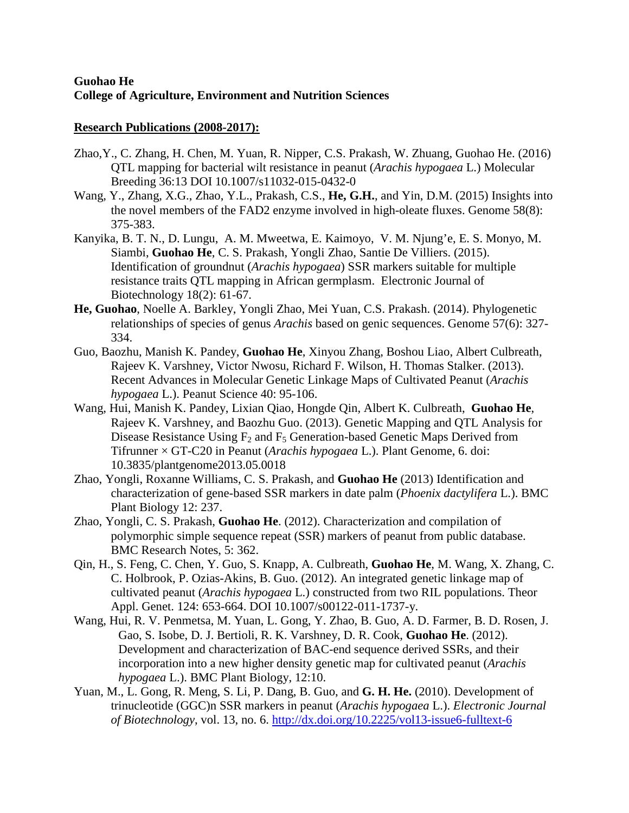## **Guohao He College of Agriculture, Environment and Nutrition Sciences**

## **Research Publications (2008-2017):**

- Zhao,Y., C. Zhang, H. Chen, M. Yuan, R. Nipper, C.S. Prakash, W. Zhuang, Guohao He. (2016) QTL mapping for bacterial wilt resistance in peanut (*Arachis hypogaea* L.) Molecular Breeding 36:13 DOI 10.1007/s11032-015-0432-0
- Wang, Y., Zhang, X.G., Zhao, Y.L., Prakash, C.S., **He, G.H.**, and Yin, D.M. (2015) Insights into the novel members of the FAD2 enzyme involved in high-oleate fluxes. Genome 58(8): 375-383.
- Kanyika, B. T. N., D. Lungu, A. M. Mweetwa, E. Kaimoyo, V. M. Njung'e, E. S. Monyo, M. Siambi, **Guohao He**, C. S. Prakash, Yongli Zhao, Santie De Villiers. (2015). Identification of groundnut (*Arachis hypogaea*) SSR markers suitable for multiple resistance traits QTL mapping in African germplasm. Electronic Journal of Biotechnology 18(2): 61-67.
- **He, Guohao**, Noelle A. Barkley, Yongli Zhao, Mei Yuan, C.S. Prakash. (2014). Phylogenetic relationships of species of genus *Arachis* based on genic sequences. Genome 57(6): 327- 334.
- Guo, Baozhu, Manish K. Pandey, **Guohao He**, Xinyou Zhang, Boshou Liao, Albert Culbreath, Rajeev K. Varshney, Victor Nwosu, Richard F. Wilson, H. Thomas Stalker. (2013). Recent Advances in Molecular Genetic Linkage Maps of Cultivated Peanut (*Arachis hypogaea* L.). Peanut Science 40: 95-106.
- Wang, Hui, Manish K. Pandey, Lixian Qiao, Hongde Qin, Albert K. Culbreath, **Guohao He**, Rajeev K. Varshney, and Baozhu Guo. (2013). Genetic Mapping and QTL Analysis for Disease Resistance Using  $F_2$  and  $F_5$  Generation-based Genetic Maps Derived from Tifrunner × GT-C20 in Peanut (*Arachis hypogaea* L.). Plant Genome, 6. doi: 10.3835/plantgenome2013.05.0018
- Zhao, Yongli, Roxanne Williams, C. S. Prakash, and **Guohao He** (2013) Identification and characterization of gene-based SSR markers in date palm (*Phoenix dactylifera* L.). BMC Plant Biology 12: 237.
- Zhao, Yongli, C. S. Prakash, **Guohao He**. (2012). Characterization and compilation of polymorphic simple sequence repeat (SSR) markers of peanut from public database. BMC Research Notes, 5: 362.
- Qin, H., S. Feng, C. Chen, Y. Guo, S. Knapp, A. Culbreath, **Guohao He**, M. Wang, X. Zhang, C. C. Holbrook, P. Ozias-Akins, B. Guo. (2012). An integrated genetic linkage map of cultivated peanut (*Arachis hypogaea* L.) constructed from two RIL populations. Theor Appl. Genet. 124: 653-664. DOI 10.1007/s00122-011-1737-y.
- Wang, Hui, R. V. Penmetsa, M. Yuan, L. Gong, Y. Zhao, B. Guo, A. D. Farmer, B. D. Rosen, J. Gao, S. Isobe, D. J. Bertioli, R. K. Varshney, D. R. Cook, **Guohao He**. (2012). Development and characterization of BAC-end sequence derived SSRs, and their incorporation into a new higher density genetic map for cultivated peanut (*Arachis hypogaea* L.). BMC Plant Biology, 12:10.
- Yuan, M., L. Gong, R. Meng, S. Li, P. Dang, B. Guo, and **G. H. He.** (2010). Development of trinucleotide (GGC)n SSR markers in peanut (*Arachis hypogaea* L.). *Electronic Journal of Biotechnology*, vol. 13, no. 6.<http://dx.doi.org/10.2225/vol13-issue6-fulltext-6>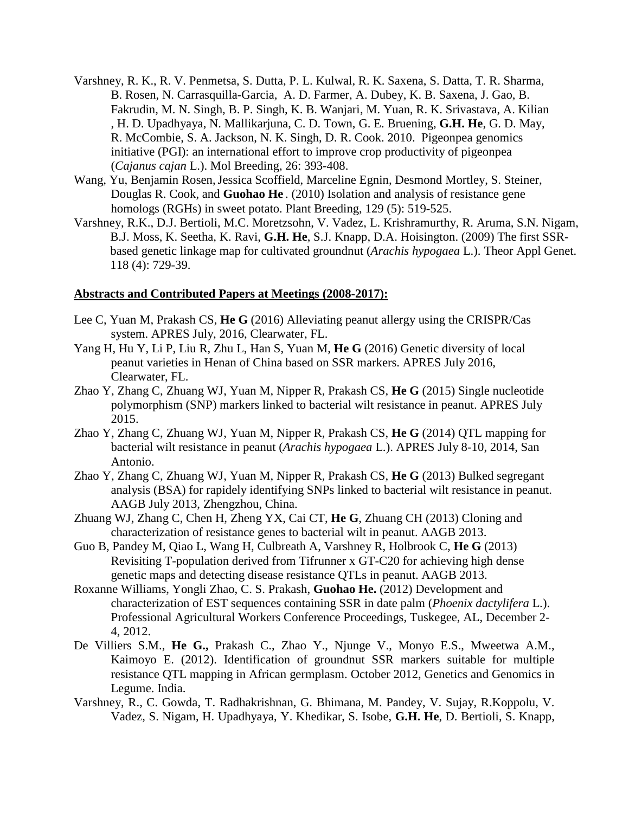- Varshney, R. K., R. V. Penmetsa, S. Dutta, P. L. Kulwal, R. K. Saxena, S. Datta, T. R. Sharma, B. Rosen, N. Carrasquilla-Garcia, A. D. Farmer, A. Dubey, K. B. Saxena, J. Gao, B. Fakrudin, M. N. Singh, B. P. Singh, K. B. Wanjari, M. Yuan, R. K. Srivastava, A. Kilian , H. D. Upadhyaya, N. Mallikarjuna, C. D. Town, G. E. Bruening, **G.H. He**, G. D. May, R. McCombie, S. A. Jackson, N. K. Singh, D. R. Cook. 2010. Pigeonpea genomics initiative (PGI): an international effort to improve crop productivity of pigeonpea (*Cajanus cajan* L.). Mol Breeding, 26: 393-408.
- Wang, Yu, Benjamin Rosen,Jessica Scoffield, Marceline Egnin, Desmond Mortley, S. Steiner, Douglas R. Cook, and **Guohao He** . (2010) Isolation and analysis of resistance gene homologs (RGHs) in sweet potato. Plant Breeding, 129 (5): 519-525.
- Varshney, R.K., D.J. Bertioli, M.C. Moretzsohn, V. Vadez, L. Krishramurthy, R. Aruma, S.N. Nigam, B.J. Moss, K. Seetha, K. Ravi, **G.H. He**, S.J. Knapp, D.A. Hoisington. (2009) The first SSRbased genetic linkage map for cultivated groundnut (*Arachis hypogaea* L.). Theor Appl Genet. 118 (4): 729-39.

## **Abstracts and Contributed Papers at Meetings (2008-2017):**

- Lee C, Yuan M, Prakash CS, **He G** (2016) Alleviating peanut allergy using the CRISPR/Cas system. APRES July, 2016, Clearwater, FL.
- Yang H, Hu Y, Li P, Liu R, Zhu L, Han S, Yuan M, **He G** (2016) Genetic diversity of local peanut varieties in Henan of China based on SSR markers. APRES July 2016, Clearwater, FL.
- Zhao Y, Zhang C, Zhuang WJ, Yuan M, Nipper R, Prakash CS, **He G** (2015) Single nucleotide polymorphism (SNP) markers linked to bacterial wilt resistance in peanut. APRES July 2015.
- Zhao Y, Zhang C, Zhuang WJ, Yuan M, Nipper R, Prakash CS, **He G** (2014) QTL mapping for bacterial wilt resistance in peanut (*Arachis hypogaea* L.). APRES July 8-10, 2014, San Antonio.
- Zhao Y, Zhang C, Zhuang WJ, Yuan M, Nipper R, Prakash CS, **He G** (2013) Bulked segregant analysis (BSA) for rapidely identifying SNPs linked to bacterial wilt resistance in peanut. AAGB July 2013, Zhengzhou, China.
- Zhuang WJ, Zhang C, Chen H, Zheng YX, Cai CT, **He G**, Zhuang CH (2013) Cloning and characterization of resistance genes to bacterial wilt in peanut. AAGB 2013.
- Guo B, Pandey M, Qiao L, Wang H, Culbreath A, Varshney R, Holbrook C, **He G** (2013) Revisiting T-population derived from Tifrunner x GT-C20 for achieving high dense genetic maps and detecting disease resistance QTLs in peanut. AAGB 2013.
- Roxanne Williams, Yongli Zhao, C. S. Prakash, **Guohao He.** (2012) Development and characterization of EST sequences containing SSR in date palm (*Phoenix dactylifera* L.). Professional Agricultural Workers Conference Proceedings, Tuskegee, AL, December 2- 4, 2012.
- De Villiers S.M., **He G.,** Prakash C., Zhao Y., Njunge V., Monyo E.S., Mweetwa A.M., Kaimoyo E. (2012). Identification of groundnut SSR markers suitable for multiple resistance QTL mapping in African germplasm. October 2012, Genetics and Genomics in Legume. India.
- Varshney, R., C. Gowda, T. Radhakrishnan, G. Bhimana, M. Pandey, V. Sujay, R.Koppolu, V. Vadez, S. Nigam, H. Upadhyaya, Y. Khedikar, S. Isobe, **G.H. He**, D. Bertioli, S. Knapp,